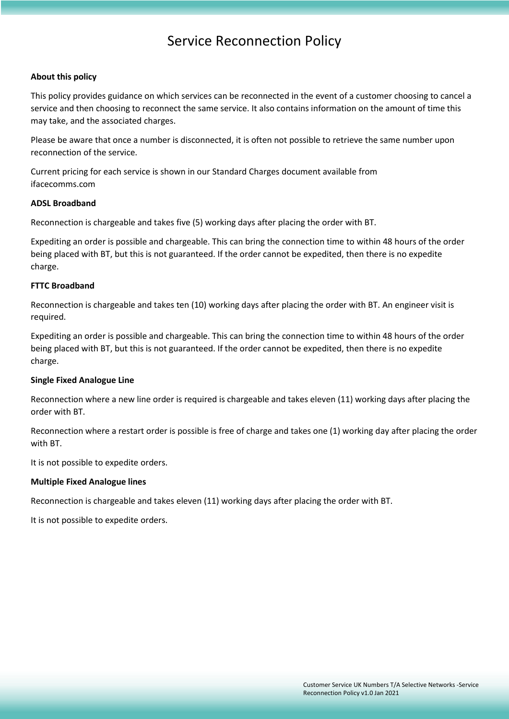# Service Reconnection Policy

## **About this policy**

This policy provides guidance on which services can be reconnected in the event of a customer choosing to cancel a service and then choosing to reconnect the same service. It also contains information on the amount of time this may take, and the associated charges.

Please be aware that once a number is disconnected, it is often not possible to retrieve the same number upon reconnection of the service.

Current pricing for each service is shown in our Standard Charges document available from ifacecomms.com

## **ADSL Broadband**

Reconnection is chargeable and takes five (5) working days after placing the order with BT.

Expediting an order is possible and chargeable. This can bring the connection time to within 48 hours of the order being placed with BT, but this is not guaranteed. If the order cannot be expedited, then there is no expedite charge.

# **FTTC Broadband**

Reconnection is chargeable and takes ten (10) working days after placing the order with BT. An engineer visit is required.

Expediting an order is possible and chargeable. This can bring the connection time to within 48 hours of the order being placed with BT, but this is not guaranteed. If the order cannot be expedited, then there is no expedite charge.

## **Single Fixed Analogue Line**

Reconnection where a new line order is required is chargeable and takes eleven (11) working days after placing the order with BT.

Reconnection where a restart order is possible is free of charge and takes one (1) working day after placing the order with BT.

It is not possible to expedite orders.

## **Multiple Fixed Analogue lines**

Reconnection is chargeable and takes eleven (11) working days after placing the order with BT.

It is not possible to expedite orders.